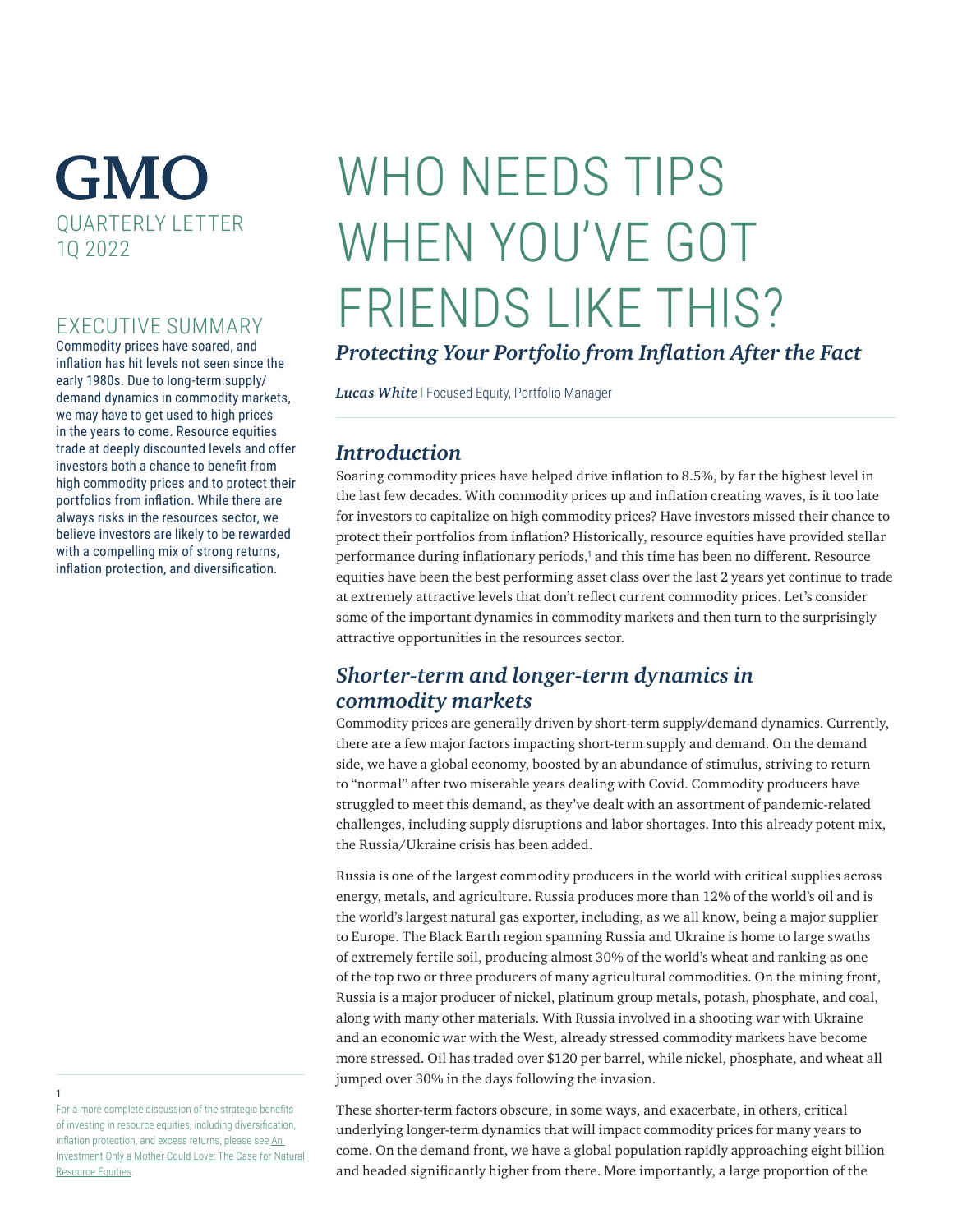### **GMO** QUARTERLY LETTER 1Q 2022

#### EXECUTIVE SUMMARY

Commodity prices have soared, and inflation has hit levels not seen since the early 1980s. Due to long-term supply/ demand dynamics in commodity markets, we may have to get used to high prices in the years to come. Resource equities trade at deeply discounted levels and offer investors both a chance to benefit from high commodity prices and to protect their portfolios from inflation. While there are always risks in the resources sector, we believe investors are likely to be rewarded with a compelling mix of strong returns, inflation protection, and diversification.

# WHO NEEDS TIPS WHEN YOU'VE GOT FRIENDS LIKE THIS? *Protecting Your Portfolio from Inflation After the Fact*

*Lucas White* | Focused Equity, Portfolio Manager

#### *Introduction*

Soaring commodity prices have helped drive inflation to 8.5%, by far the highest level in the last few decades. With commodity prices up and inflation creating waves, is it too late for investors to capitalize on high commodity prices? Have investors missed their chance to protect their portfolios from inflation? Historically, resource equities have provided stellar performance during inflationary periods,<sup>1</sup> and this time has been no different. Resource equities have been the best performing asset class over the last 2 years yet continue to trade at extremely attractive levels that don't reflect current commodity prices. Let's consider some of the important dynamics in commodity markets and then turn to the surprisingly attractive opportunities in the resources sector.

### *Shorter-term and longer-term dynamics in commodity markets*

Commodity prices are generally driven by short-term supply/demand dynamics. Currently, there are a few major factors impacting short-term supply and demand. On the demand side, we have a global economy, boosted by an abundance of stimulus, striving to return to "normal" after two miserable years dealing with Covid. Commodity producers have struggled to meet this demand, as they've dealt with an assortment of pandemic-related challenges, including supply disruptions and labor shortages. Into this already potent mix, the Russia/Ukraine crisis has been added.

Russia is one of the largest commodity producers in the world with critical supplies across energy, metals, and agriculture. Russia produces more than 12% of the world's oil and is the world's largest natural gas exporter, including, as we all know, being a major supplier to Europe. The Black Earth region spanning Russia and Ukraine is home to large swaths of extremely fertile soil, producing almost 30% of the world's wheat and ranking as one of the top two or three producers of many agricultural commodities. On the mining front, Russia is a major producer of nickel, platinum group metals, potash, phosphate, and coal, along with many other materials. With Russia involved in a shooting war with Ukraine and an economic war with the West, already stressed commodity markets have become more stressed. Oil has traded over \$120 per barrel, while nickel, phosphate, and wheat all jumped over 30% in the days following the invasion.

These shorter-term factors obscure, in some ways, and exacerbate, in others, critical underlying longer-term dynamics that will impact commodity prices for many years to come. On the demand front, we have a global population rapidly approaching eight billion and headed significantly higher from there. More importantly, a large proportion of the

1

For a more complete discussion of the strategic benefits of investing in resource equities, including diversification, inflation protection, and excess returns, please see [An](https://www.gmo.com/americas/research-library/an-investment-only-a-mother-could-love/)  [Investment Only a Mother Could Love: The Case for Natural](https://www.gmo.com/americas/research-library/an-investment-only-a-mother-could-love/)  [Resource Equities](https://www.gmo.com/americas/research-library/an-investment-only-a-mother-could-love/).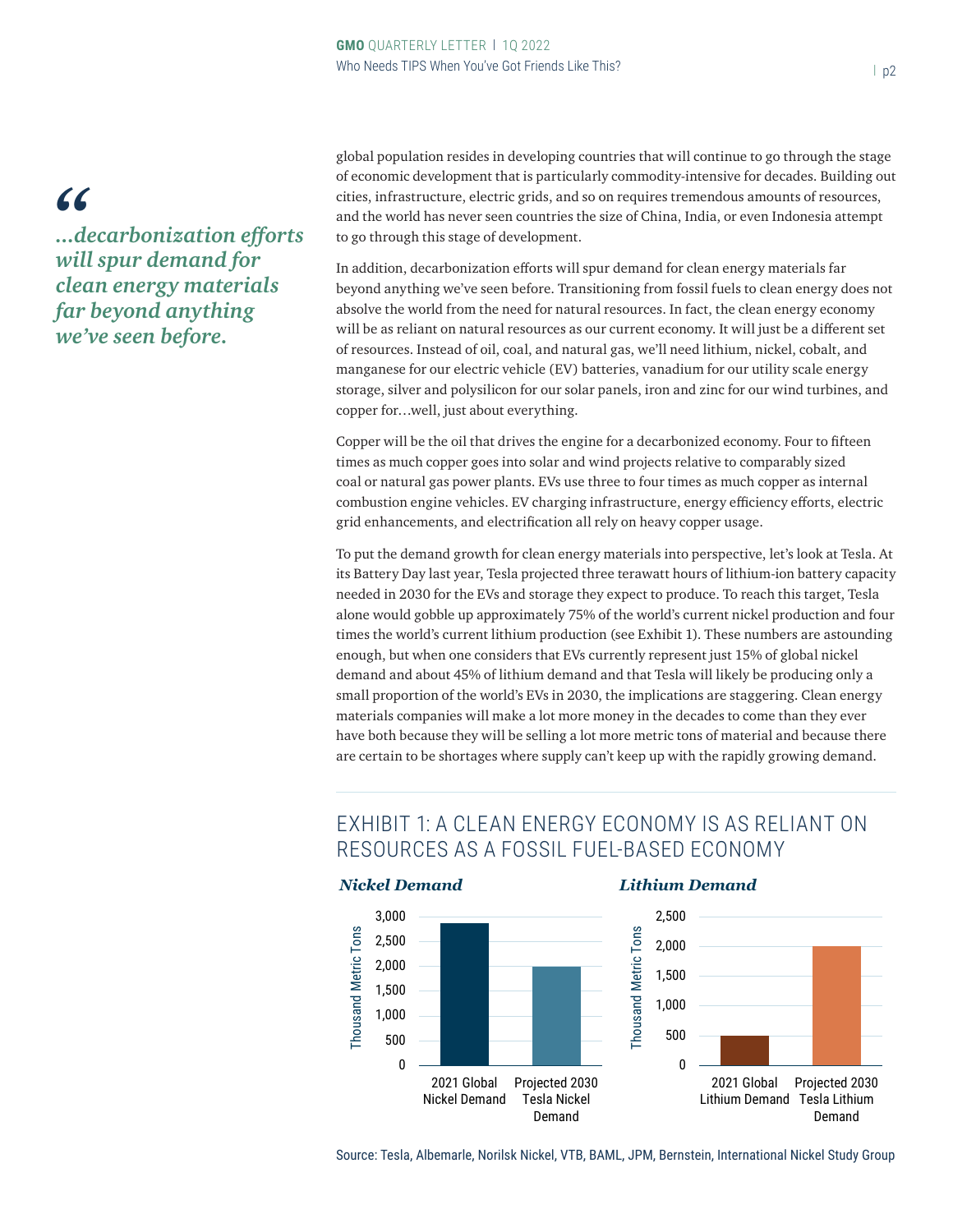### *"*

*...decarbonization efforts will spur demand for clean energy materials far beyond anything we've seen before.*

global population resides in developing countries that will continue to go through the stage of economic development that is particularly commodity-intensive for decades. Building out cities, infrastructure, electric grids, and so on requires tremendous amounts of resources, and the world has never seen countries the size of China, India, or even Indonesia attempt to go through this stage of development.

In addition, decarbonization efforts will spur demand for clean energy materials far beyond anything we've seen before. Transitioning from fossil fuels to clean energy does not absolve the world from the need for natural resources. In fact, the clean energy economy will be as reliant on natural resources as our current economy. It will just be a different set of resources. Instead of oil, coal, and natural gas, we'll need lithium, nickel, cobalt, and manganese for our electric vehicle (EV) batteries, vanadium for our utility scale energy storage, silver and polysilicon for our solar panels, iron and zinc for our wind turbines, and copper for…well, just about everything.

Copper will be the oil that drives the engine for a decarbonized economy. Four to fifteen times as much copper goes into solar and wind projects relative to comparably sized coal or natural gas power plants. EVs use three to four times as much copper as internal combustion engine vehicles. EV charging infrastructure, energy efficiency efforts, electric grid enhancements, and electrification all rely on heavy copper usage.

To put the demand growth for clean energy materials into perspective, let's look at Tesla. At its Battery Day last year, Tesla projected three terawatt hours of lithium-ion battery capacity needed in 2030 for the EVs and storage they expect to produce. To reach this target, Tesla alone would gobble up approximately 75% of the world's current nickel production and four times the world's current lithium production (see Exhibit 1). These numbers are astounding enough, but when one considers that EVs currently represent just 15% of global nickel demand and about 45% of lithium demand and that Tesla will likely be producing only a small proportion of the world's EVs in 2030, the implications are staggering. Clean energy materials companies will make a lot more money in the decades to come than they ever have both because they will be selling a lot more metric tons of material and because there are certain to be shortages where supply can't keep up with the rapidly growing demand.

#### EXHIBIT 1: A CLEAN ENERGY ECONOMY IS AS RELIANT ON RESOURCES AS A FOSSIL FUEL-BASED ECONOMY



Projected 2030 Tesla Lithium Demand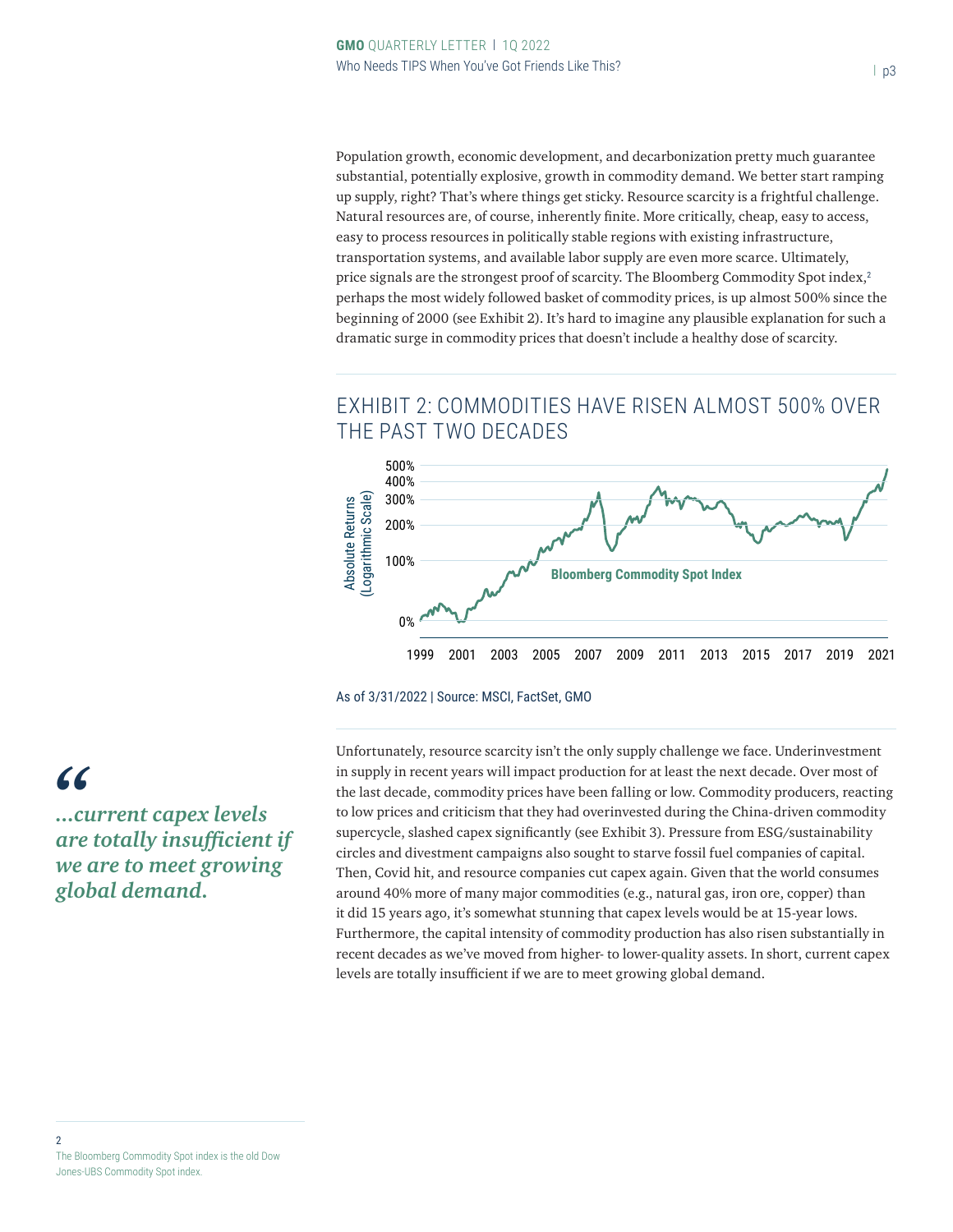Population growth, economic development, and decarbonization pretty much guarantee substantial, potentially explosive, growth in commodity demand. We better start ramping up supply, right? That's where things get sticky. Resource scarcity is a frightful challenge. Natural resources are, of course, inherently finite. More critically, cheap, easy to access, easy to process resources in politically stable regions with existing infrastructure, transportation systems, and available labor supply are even more scarce. Ultimately, price signals are the strongest proof of scarcity. The Bloomberg Commodity Spot index, $2$ perhaps the most widely followed basket of commodity prices, is up almost 500% since the beginning of 2000 (see Exhibit 2). It's hard to imagine any plausible explanation for such a dramatic surge in commodity prices that doesn't include a healthy dose of scarcity.

#### EXHIBIT 2: COMMODITIES HAVE RISEN ALMOST 500% OVER THE PAST TWO DECADES



As of 3/31/2022 | Source: MSCI, FactSet, GMO

Unfortunately, resource scarcity isn't the only supply challenge we face. Underinvestment in supply in recent years will impact production for at least the next decade. Over most of the last decade, commodity prices have been falling or low. Commodity producers, reacting to low prices and criticism that they had overinvested during the China-driven commodity supercycle, slashed capex significantly (see Exhibit 3). Pressure from ESG/sustainability circles and divestment campaigns also sought to starve fossil fuel companies of capital. Then, Covid hit, and resource companies cut capex again. Given that the world consumes around 40% more of many major commodities (e.g., natural gas, iron ore, copper) than it did 15 years ago, it's somewhat stunning that capex levels would be at 15-year lows. Furthermore, the capital intensity of commodity production has also risen substantially in recent decades as we've moved from higher- to lower-quality assets. In short, current capex levels are totally insufficient if we are to meet growing global demand.

## *"*

*...current capex levels are totally insufficient if we are to meet growing global demand.*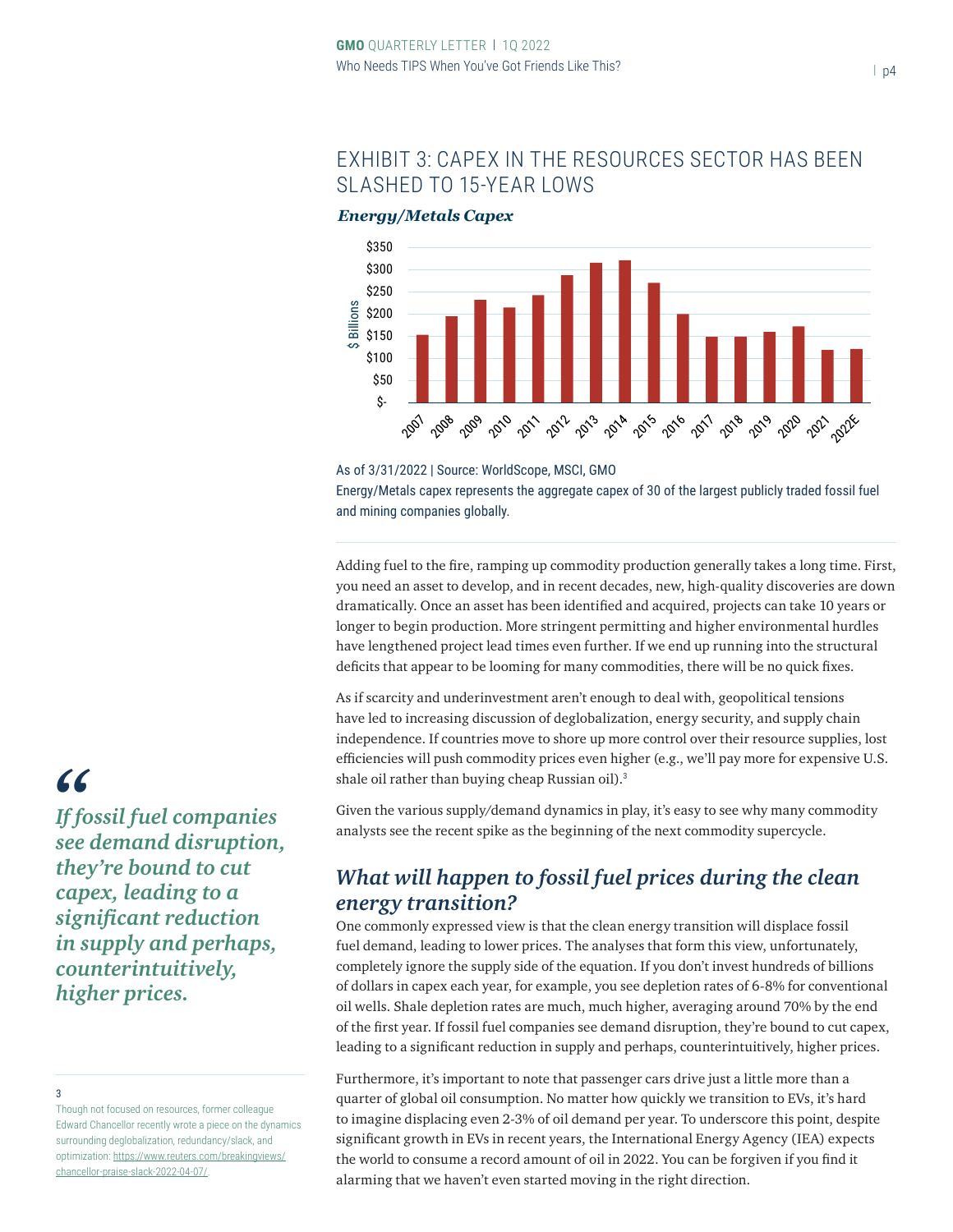#### EXHIBIT 3: CAPEX IN THE RESOURCES SECTOR HAS BEEN SLASHED TO 15-YEAR LOWS

*Energy/Metals Capex*



As of 3/31/2022 | Source: WorldScope, MSCI, GMO

Energy/Metals capex represents the aggregate capex of 30 of the largest publicly traded fossil fuel and mining companies globally.

Adding fuel to the fire, ramping up commodity production generally takes a long time. First, you need an asset to develop, and in recent decades, new, high-quality discoveries are down dramatically. Once an asset has been identified and acquired, projects can take 10 years or longer to begin production. More stringent permitting and higher environmental hurdles have lengthened project lead times even further. If we end up running into the structural deficits that appear to be looming for many commodities, there will be no quick fixes.

As if scarcity and underinvestment aren't enough to deal with, geopolitical tensions have led to increasing discussion of deglobalization, energy security, and supply chain independence. If countries move to shore up more control over their resource supplies, lost efficiencies will push commodity prices even higher (e.g., we'll pay more for expensive U.S. shale oil rather than buying cheap Russian oil).<sup>3</sup>

Given the various supply/demand dynamics in play, it's easy to see why many commodity analysts see the recent spike as the beginning of the next commodity supercycle.

#### *What will happen to fossil fuel prices during the clean energy transition?*

One commonly expressed view is that the clean energy transition will displace fossil fuel demand, leading to lower prices. The analyses that form this view, unfortunately, completely ignore the supply side of the equation. If you don't invest hundreds of billions of dollars in capex each year, for example, you see depletion rates of 6-8% for conventional oil wells. Shale depletion rates are much, much higher, averaging around 70% by the end of the first year. If fossil fuel companies see demand disruption, they're bound to cut capex, leading to a significant reduction in supply and perhaps, counterintuitively, higher prices.

Furthermore, it's important to note that passenger cars drive just a little more than a quarter of global oil consumption. No matter how quickly we transition to EVs, it's hard to imagine displacing even 2-3% of oil demand per year. To underscore this point, despite significant growth in EVs in recent years, the International Energy Agency (IEA) expects the world to consume a record amount of oil in 2022. You can be forgiven if you find it alarming that we haven't even started moving in the right direction.

## *"*

*If fossil fuel companies see demand disruption, they're bound to cut capex, leading to a significant reduction in supply and perhaps, counterintuitively, higher prices.*

Though not focused on resources, former colleague Edward Chancellor recently wrote a piece on the dynamics surrounding deglobalization, redundancy/slack, and optimization: [https://www.reuters.com/breakingviews/](https://www.reuters.com/breakingviews/chancellor-praise-slack-2022-04-07/) [chancellor-praise-slack-2022-04-07/](https://www.reuters.com/breakingviews/chancellor-praise-slack-2022-04-07/).

<sup>3</sup>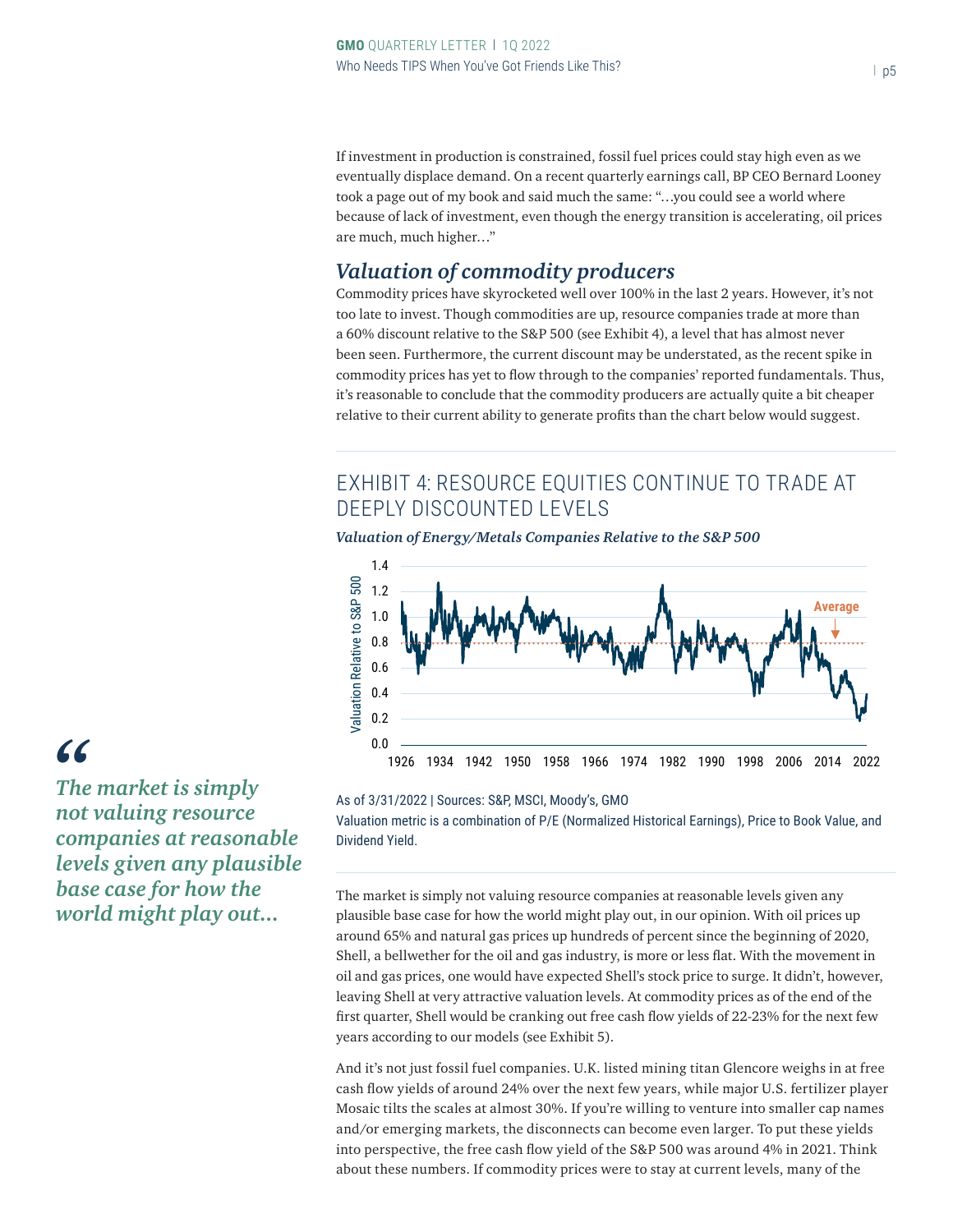If investment in production is constrained, fossil fuel prices could stay high even as we eventually displace demand. On a recent quarterly earnings call, BP CEO Bernard Looney took a page out of my book and said much the same: "…you could see a world where because of lack of investment, even though the energy transition is accelerating, oil prices are much, much higher…"

### *Valuation of commodity producers*

Commodity prices have skyrocketed well over 100% in the last 2 years. However, it's not too late to invest. Though commodities are up, resource companies trade at more than a 60% discount relative to the S&P 500 (see Exhibit 4), a level that has almost never been seen. Furthermore, the current discount may be understated, as the recent spike in commodity prices has yet to flow through to the companies' reported fundamentals. Thus, it's reasonable to conclude that the commodity producers are actually quite a bit cheaper relative to their current ability to generate profits than the chart below would suggest.

#### EXHIBIT 4: RESOURCE EQUITIES CONTINUE TO TRADE AT DEEPLY DISCOUNTED LEVELS

#### *Valuation of Energy/Metals Companies Relative to the S&P 500 Valuation of Energy/Metals Companies Relative to the S&P 500*



As of 3/31/2022 | Sources: S&P, MSCI, Moody's, GMO

Valuation metric is a combination of P/E (Normalized Historical Earnings), Price to Book Value, and Dividend Yield.

The market is simply not valuing resource companies at reasonable levels given any plausible base case for how the world might play out, in our opinion. With oil prices up around 65% and natural gas prices up hundreds of percent since the beginning of 2020, Shell, a bellwether for the oil and gas industry, is more or less flat. With the movement in oil and gas prices, one would have expected Shell's stock price to surge. It didn't, however, leaving Shell at very attractive valuation levels. At commodity prices as of the end of the first quarter, Shell would be cranking out free cash flow yields of 22-23% for the next few years according to our models (see Exhibit 5).

And it's not just fossil fuel companies. U.K. listed mining titan Glencore weighs in at free cash flow yields of around 24% over the next few years, while major U.S. fertilizer player Mosaic tilts the scales at almost 30%. If you're willing to venture into smaller cap names and/or emerging markets, the disconnects can become even larger. To put these yields into perspective, the free cash flow yield of the S&P 500 was around 4% in 2021. Think about these numbers. If commodity prices were to stay at current levels, many of the

### *"*

*The market is simply not valuing resource companies at reasonable levels given any plausible base case for how the world might play out...*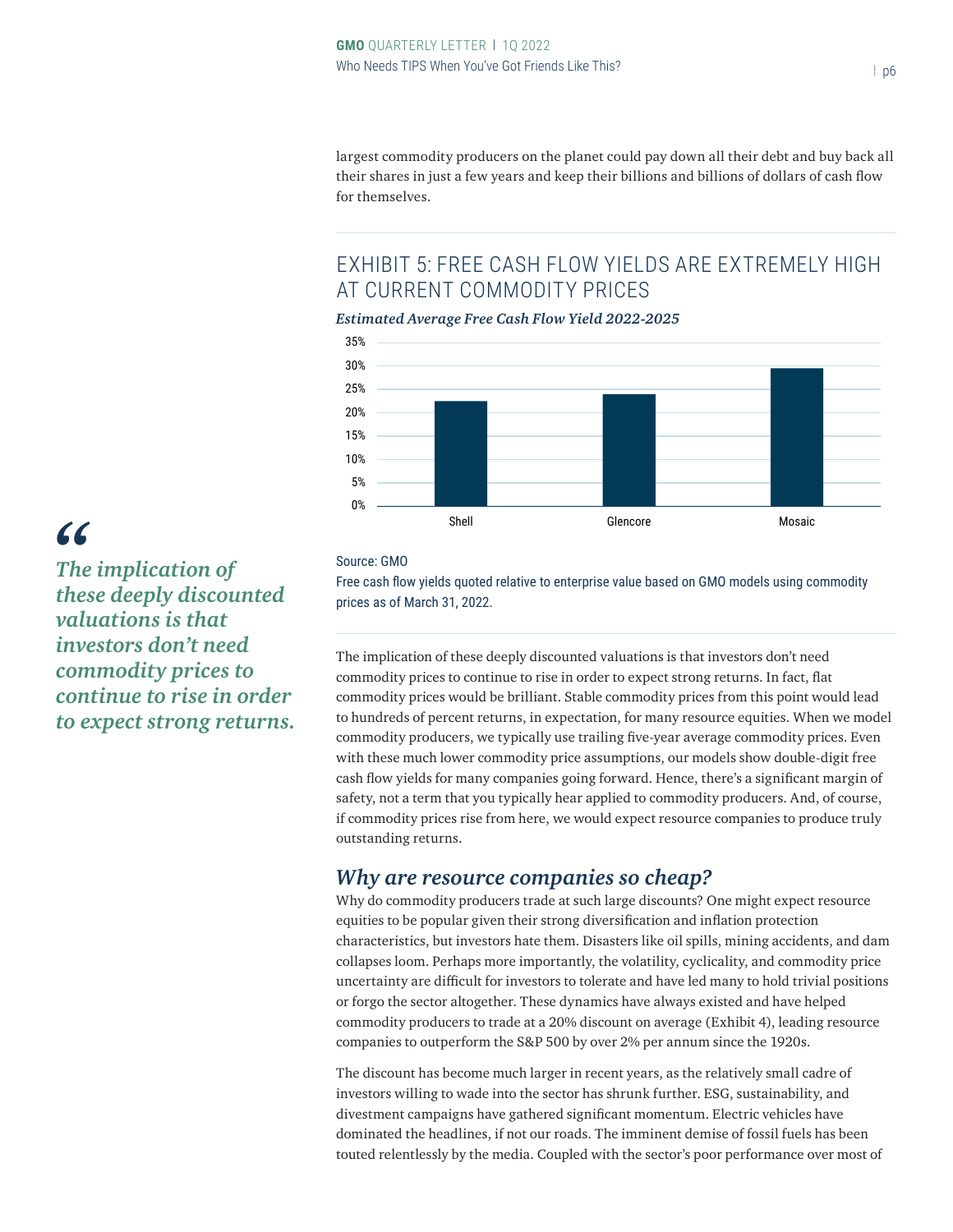largest commodity producers on the planet could pay down all their debt and buy back all their shares in just a few years and keep their billions and billions of dollars of cash flow for themselves.

#### EXHIBIT 5: FREE CASH FLOW YIELDS ARE EXTREMELY HIGH AT CURRENT COMMODITY PRICES

#### *Estimated Average Free Cash Flow Yield 2022-2025*



### *"*

*The implication of these deeply discounted valuations is that investors don't need commodity prices to continue to rise in order to expect strong returns.*

#### Source: GMO

Free cash flow yields quoted relative to enterprise value based on GMO models using commodity prices as of March 31, 2022.

The implication of these deeply discounted valuations is that investors don't need commodity prices to continue to rise in order to expect strong returns. In fact, flat commodity prices would be brilliant. Stable commodity prices from this point would lead to hundreds of percent returns, in expectation, for many resource equities. When we model commodity producers, we typically use trailing five-year average commodity prices. Even with these much lower commodity price assumptions, our models show double-digit free cash flow yields for many companies going forward. Hence, there's a significant margin of safety, not a term that you typically hear applied to commodity producers. And, of course, if commodity prices rise from here, we would expect resource companies to produce truly outstanding returns.

#### *Why are resource companies so cheap?*

Why do commodity producers trade at such large discounts? One might expect resource equities to be popular given their strong diversification and inflation protection characteristics, but investors hate them. Disasters like oil spills, mining accidents, and dam collapses loom. Perhaps more importantly, the volatility, cyclicality, and commodity price uncertainty are difficult for investors to tolerate and have led many to hold trivial positions or forgo the sector altogether. These dynamics have always existed and have helped commodity producers to trade at a 20% discount on average (Exhibit 4), leading resource companies to outperform the S&P 500 by over 2% per annum since the 1920s.

The discount has become much larger in recent years, as the relatively small cadre of investors willing to wade into the sector has shrunk further. ESG, sustainability, and divestment campaigns have gathered significant momentum. Electric vehicles have dominated the headlines, if not our roads. The imminent demise of fossil fuels has been touted relentlessly by the media. Coupled with the sector's poor performance over most of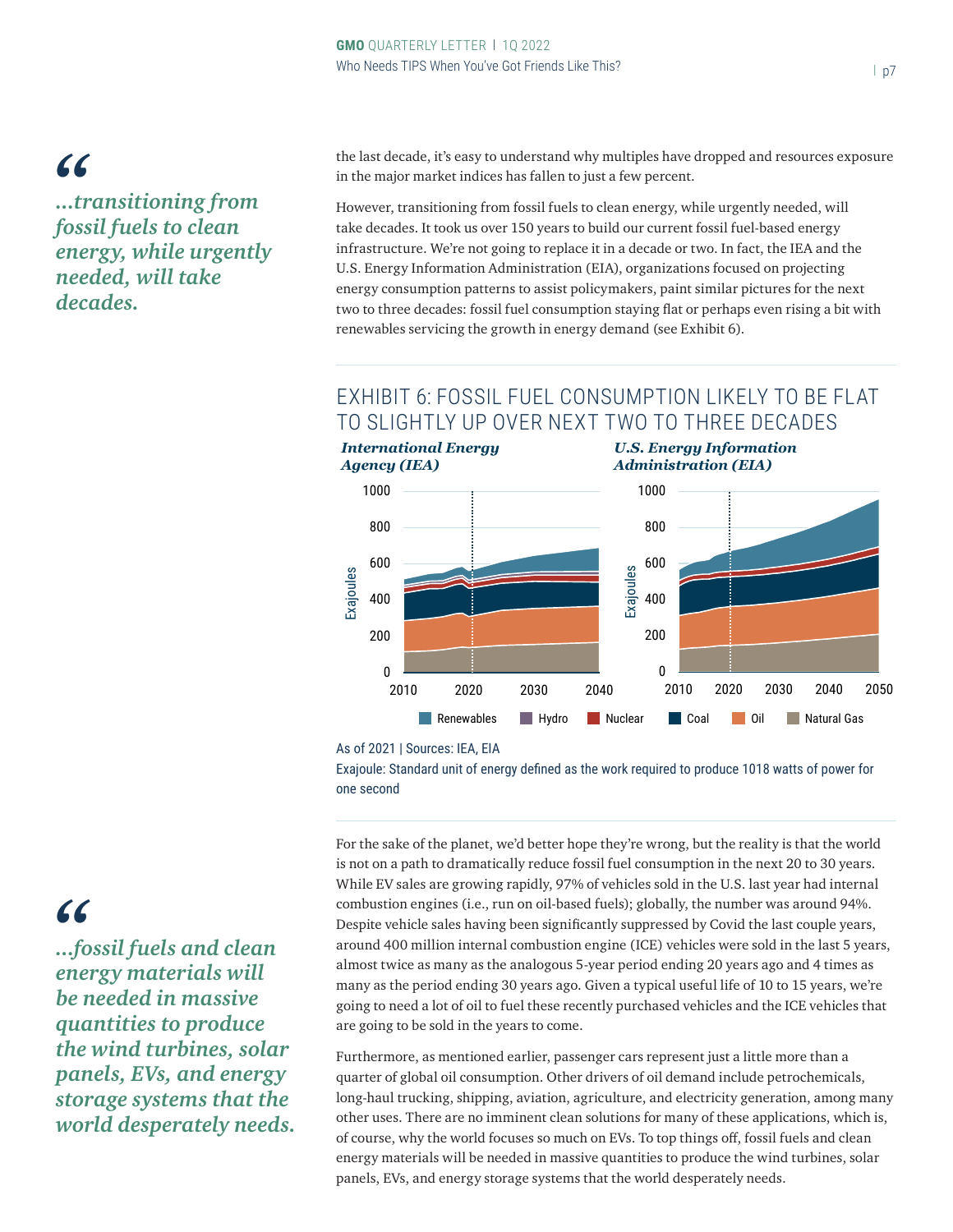*...transitioning from " fossil fuels to clean energy, while urgently needed, will take decades.*

the last decade, it's easy to understand why multiples have dropped and resources exposure in the major market indices has fallen to just a few percent.

However, transitioning from fossil fuels to clean energy, while urgently needed, will take decades. It took us over 150 years to build our current fossil fuel-based energy infrastructure. We're not going to replace it in a decade or two. In fact, the IEA and the U.S. Energy Information Administration (EIA), organizations focused on projecting energy consumption patterns to assist policymakers, paint similar pictures for the next two to three decades: fossil fuel consumption staying flat or perhaps even rising a bit with renewables servicing the growth in energy demand (see Exhibit 6).

#### EXHIBIT 6: FOSSIL FUEL CONSUMPTION LIKELY TO BE FLAT TO SLIGHTLY UP OVER NEXT TWO TO THREE DECADES



As of 2021 | Sources: IEA, EIA

Exajoule: Standard unit of energy defined as the work required to produce 1018 watts of power for one second

For the sake of the planet, we'd better hope they're wrong, but the reality is that the world is not on a path to dramatically reduce fossil fuel consumption in the next 20 to 30 years. While EV sales are growing rapidly, 97% of vehicles sold in the U.S. last year had internal combustion engines (i.e., run on oil-based fuels); globally, the number was around 94%. Despite vehicle sales having been significantly suppressed by Covid the last couple years, around 400 million internal combustion engine (ICE) vehicles were sold in the last 5 years, almost twice as many as the analogous 5-year period ending 20 years ago and 4 times as many as the period ending 30 years ago. Given a typical useful life of 10 to 15 years, we're going to need a lot of oil to fuel these recently purchased vehicles and the ICE vehicles that are going to be sold in the years to come.

Furthermore, as mentioned earlier, passenger cars represent just a little more than a quarter of global oil consumption. Other drivers of oil demand include petrochemicals, long-haul trucking, shipping, aviation, agriculture, and electricity generation, among many other uses. There are no imminent clean solutions for many of these applications, which is, of course, why the world focuses so much on EVs. To top things off, fossil fuels and clean energy materials will be needed in massive quantities to produce the wind turbines, solar panels, EVs, and energy storage systems that the world desperately needs.

### *"*

*...fossil fuels and clean energy materials will be needed in massive quantities to produce the wind turbines, solar panels, EVs, and energy storage systems that the world desperately needs.*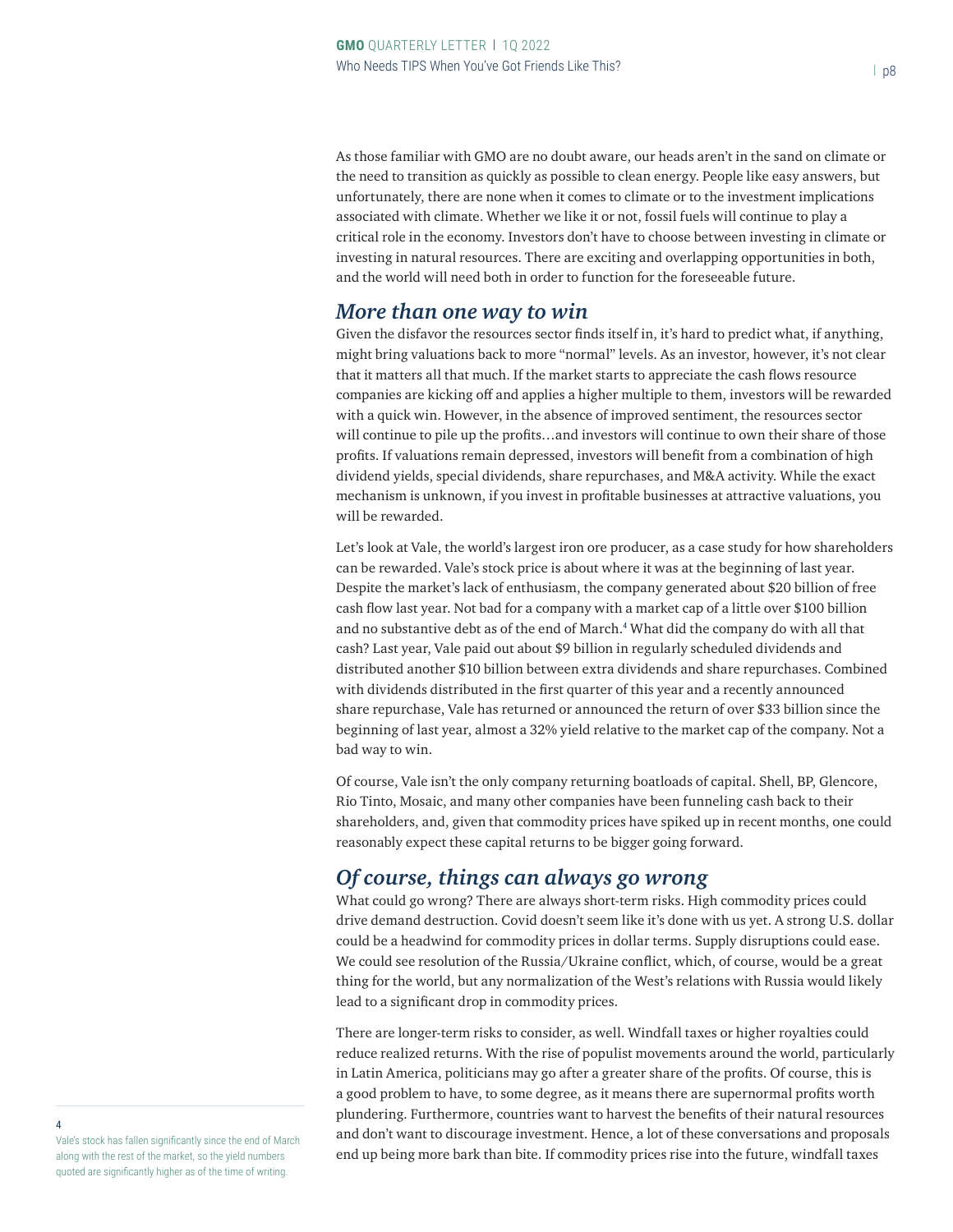As those familiar with GMO are no doubt aware, our heads aren't in the sand on climate or the need to transition as quickly as possible to clean energy. People like easy answers, but unfortunately, there are none when it comes to climate or to the investment implications associated with climate. Whether we like it or not, fossil fuels will continue to play a critical role in the economy. Investors don't have to choose between investing in climate or investing in natural resources. There are exciting and overlapping opportunities in both, and the world will need both in order to function for the foreseeable future.

#### *More than one way to win*

Given the disfavor the resources sector finds itself in, it's hard to predict what, if anything, might bring valuations back to more "normal" levels. As an investor, however, it's not clear that it matters all that much. If the market starts to appreciate the cash flows resource companies are kicking off and applies a higher multiple to them, investors will be rewarded with a quick win. However, in the absence of improved sentiment, the resources sector will continue to pile up the profits…and investors will continue to own their share of those profits. If valuations remain depressed, investors will benefit from a combination of high dividend yields, special dividends, share repurchases, and M&A activity. While the exact mechanism is unknown, if you invest in profitable businesses at attractive valuations, you will be rewarded.

Let's look at Vale, the world's largest iron ore producer, as a case study for how shareholders can be rewarded. Vale's stock price is about where it was at the beginning of last year. Despite the market's lack of enthusiasm, the company generated about \$20 billion of free cash flow last year. Not bad for a company with a market cap of a little over \$100 billion and no substantive debt as of the end of March.<sup>4</sup> What did the company do with all that cash? Last year, Vale paid out about \$9 billion in regularly scheduled dividends and distributed another \$10 billion between extra dividends and share repurchases. Combined with dividends distributed in the first quarter of this year and a recently announced share repurchase, Vale has returned or announced the return of over \$33 billion since the beginning of last year, almost a 32% yield relative to the market cap of the company. Not a bad way to win.

Of course, Vale isn't the only company returning boatloads of capital. Shell, BP, Glencore, Rio Tinto, Mosaic, and many other companies have been funneling cash back to their shareholders, and, given that commodity prices have spiked up in recent months, one could reasonably expect these capital returns to be bigger going forward.

#### *Of course, things can always go wrong*

What could go wrong? There are always short-term risks. High commodity prices could drive demand destruction. Covid doesn't seem like it's done with us yet. A strong U.S. dollar could be a headwind for commodity prices in dollar terms. Supply disruptions could ease. We could see resolution of the Russia/Ukraine conflict, which, of course, would be a great thing for the world, but any normalization of the West's relations with Russia would likely lead to a significant drop in commodity prices.

There are longer-term risks to consider, as well. Windfall taxes or higher royalties could reduce realized returns. With the rise of populist movements around the world, particularly in Latin America, politicians may go after a greater share of the profits. Of course, this is a good problem to have, to some degree, as it means there are supernormal profits worth plundering. Furthermore, countries want to harvest the benefits of their natural resources and don't want to discourage investment. Hence, a lot of these conversations and proposals end up being more bark than bite. If commodity prices rise into the future, windfall taxes

Vale's stock has fallen significantly since the end of March along with the rest of the market, so the yield numbers quoted are significantly higher as of the time of writing.

4